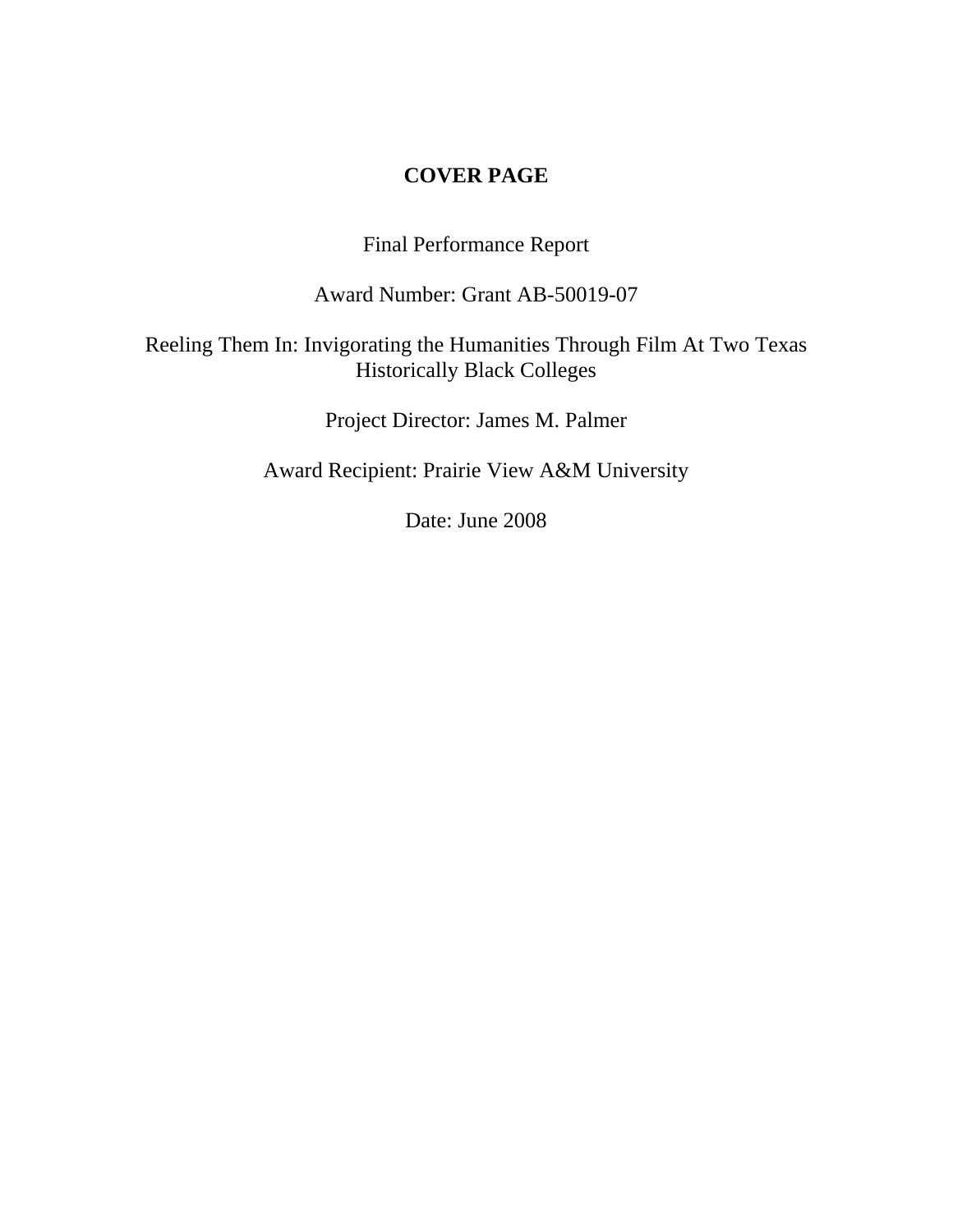## **COVER PAGE**

Final Performance Report

Award Number: Grant AB-50019-07

# Reeling Them In: Invigorating the Humanities Through Film At Two Texas Historically Black Colleges

Project Director: James M. Palmer

Award Recipient: Prairie View A&M University

Date: June 2008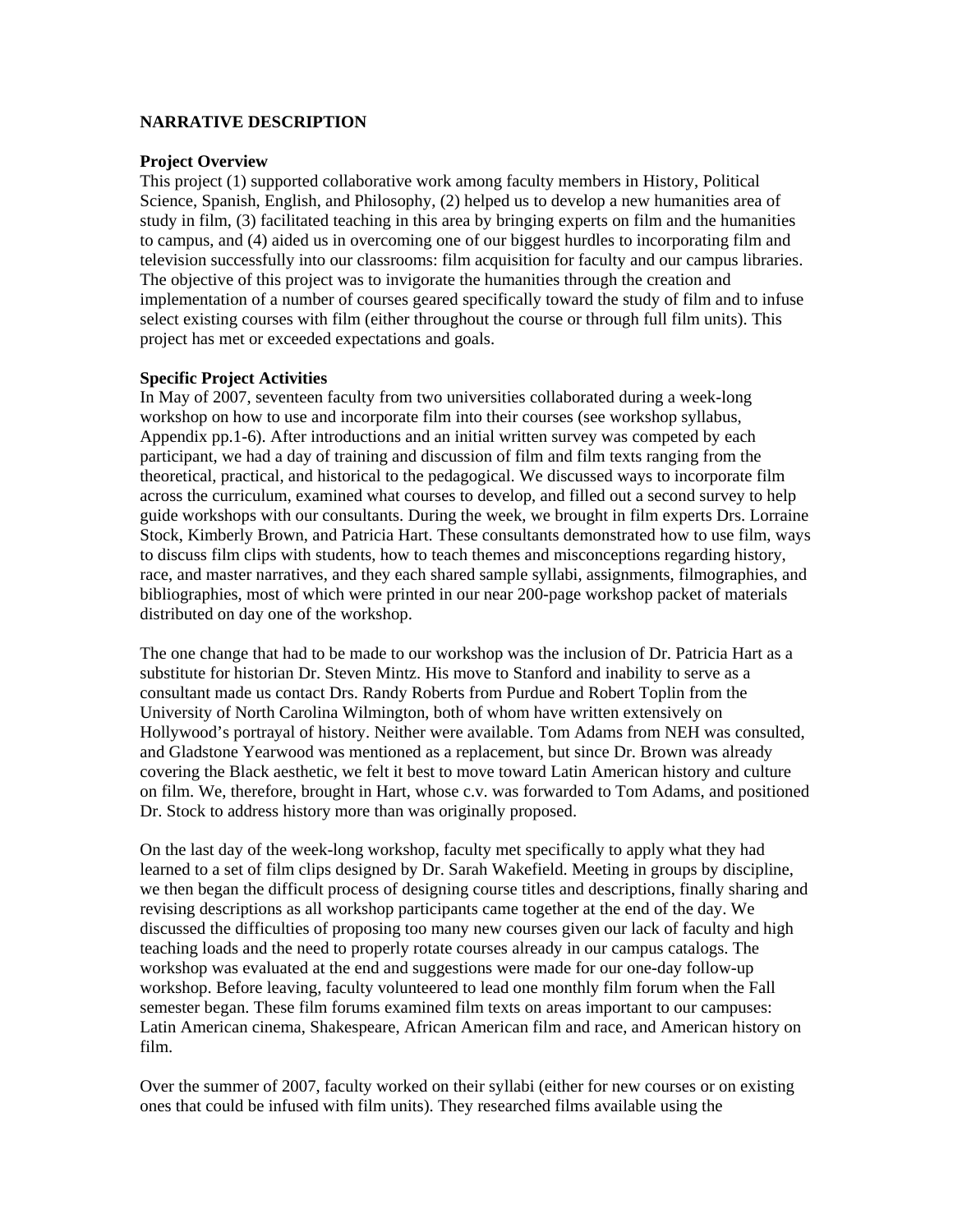### **NARRATIVE DESCRIPTION**

#### **Project Overview**

This project (1) supported collaborative work among faculty members in History, Political Science, Spanish, English, and Philosophy, (2) helped us to develop a new humanities area of study in film, (3) facilitated teaching in this area by bringing experts on film and the humanities to campus, and (4) aided us in overcoming one of our biggest hurdles to incorporating film and television successfully into our classrooms: film acquisition for faculty and our campus libraries. The objective of this project was to invigorate the humanities through the creation and implementation of a number of courses geared specifically toward the study of film and to infuse select existing courses with film (either throughout the course or through full film units). This project has met or exceeded expectations and goals.

### **Specific Project Activities**

In May of 2007, seventeen faculty from two universities collaborated during a week-long workshop on how to use and incorporate film into their courses (see workshop syllabus, Appendix pp.1-6). After introductions and an initial written survey was competed by each participant, we had a day of training and discussion of film and film texts ranging from the theoretical, practical, and historical to the pedagogical. We discussed ways to incorporate film across the curriculum, examined what courses to develop, and filled out a second survey to help guide workshops with our consultants. During the week, we brought in film experts Drs. Lorraine Stock, Kimberly Brown, and Patricia Hart. These consultants demonstrated how to use film, ways to discuss film clips with students, how to teach themes and misconceptions regarding history, race, and master narratives, and they each shared sample syllabi, assignments, filmographies, and bibliographies, most of which were printed in our near 200-page workshop packet of materials distributed on day one of the workshop.

The one change that had to be made to our workshop was the inclusion of Dr. Patricia Hart as a substitute for historian Dr. Steven Mintz. His move to Stanford and inability to serve as a consultant made us contact Drs. Randy Roberts from Purdue and Robert Toplin from the University of North Carolina Wilmington, both of whom have written extensively on Hollywood's portrayal of history. Neither were available. Tom Adams from NEH was consulted, and Gladstone Yearwood was mentioned as a replacement, but since Dr. Brown was already covering the Black aesthetic, we felt it best to move toward Latin American history and culture on film. We, therefore, brought in Hart, whose c.v. was forwarded to Tom Adams, and positioned Dr. Stock to address history more than was originally proposed.

On the last day of the week-long workshop, faculty met specifically to apply what they had learned to a set of film clips designed by Dr. Sarah Wakefield. Meeting in groups by discipline, we then began the difficult process of designing course titles and descriptions, finally sharing and revising descriptions as all workshop participants came together at the end of the day. We discussed the difficulties of proposing too many new courses given our lack of faculty and high teaching loads and the need to properly rotate courses already in our campus catalogs. The workshop was evaluated at the end and suggestions were made for our one-day follow-up workshop. Before leaving, faculty volunteered to lead one monthly film forum when the Fall semester began. These film forums examined film texts on areas important to our campuses: Latin American cinema, Shakespeare, African American film and race, and American history on film.

Over the summer of 2007, faculty worked on their syllabi (either for new courses or on existing ones that could be infused with film units). They researched films available using the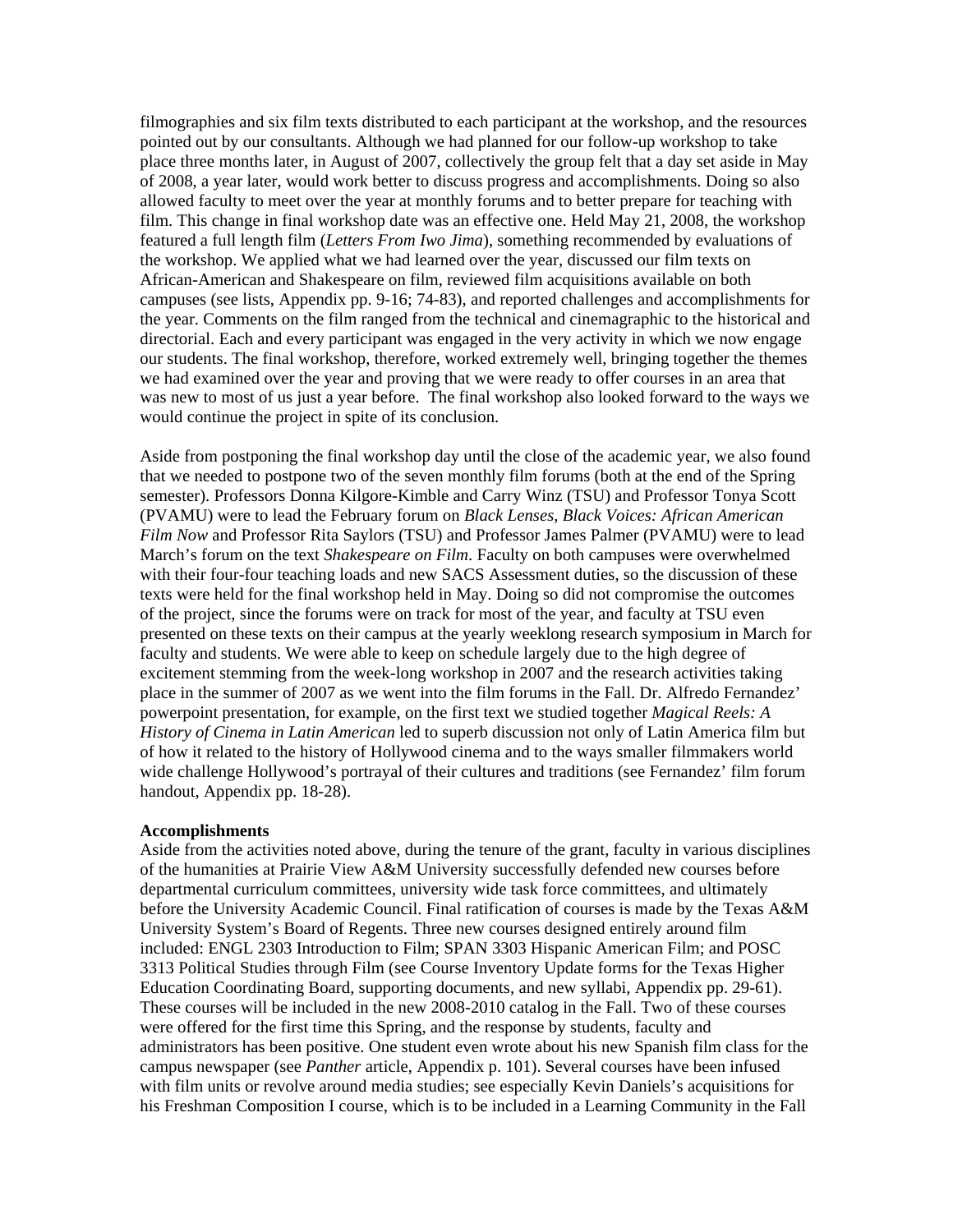filmographies and six film texts distributed to each participant at the workshop, and the resources pointed out by our consultants. Although we had planned for our follow-up workshop to take place three months later, in August of 2007, collectively the group felt that a day set aside in May of 2008, a year later, would work better to discuss progress and accomplishments. Doing so also allowed faculty to meet over the year at monthly forums and to better prepare for teaching with film. This change in final workshop date was an effective one. Held May 21, 2008, the workshop featured a full length film (*Letters From Iwo Jima*), something recommended by evaluations of the workshop. We applied what we had learned over the year, discussed our film texts on African-American and Shakespeare on film, reviewed film acquisitions available on both campuses (see lists, Appendix pp. 9-16; 74-83), and reported challenges and accomplishments for the year. Comments on the film ranged from the technical and cinemagraphic to the historical and directorial. Each and every participant was engaged in the very activity in which we now engage our students. The final workshop, therefore, worked extremely well, bringing together the themes we had examined over the year and proving that we were ready to offer courses in an area that was new to most of us just a year before. The final workshop also looked forward to the ways we would continue the project in spite of its conclusion.

Aside from postponing the final workshop day until the close of the academic year, we also found that we needed to postpone two of the seven monthly film forums (both at the end of the Spring semester). Professors Donna Kilgore-Kimble and Carry Winz (TSU) and Professor Tonya Scott (PVAMU) were to lead the February forum on *Black Lenses, Black Voices: African American Film Now* and Professor Rita Saylors (TSU) and Professor James Palmer (PVAMU) were to lead March's forum on the text *Shakespeare on Film*. Faculty on both campuses were overwhelmed with their four-four teaching loads and new SACS Assessment duties, so the discussion of these texts were held for the final workshop held in May. Doing so did not compromise the outcomes of the project, since the forums were on track for most of the year, and faculty at TSU even presented on these texts on their campus at the yearly weeklong research symposium in March for faculty and students. We were able to keep on schedule largely due to the high degree of excitement stemming from the week-long workshop in 2007 and the research activities taking place in the summer of 2007 as we went into the film forums in the Fall. Dr. Alfredo Fernandez' powerpoint presentation, for example, on the first text we studied together *Magical Reels: A History of Cinema in Latin American* led to superb discussion not only of Latin America film but of how it related to the history of Hollywood cinema and to the ways smaller filmmakers world wide challenge Hollywood's portrayal of their cultures and traditions (see Fernandez' film forum handout, Appendix pp. 18-28).

#### **Accomplishments**

Aside from the activities noted above, during the tenure of the grant, faculty in various disciplines of the humanities at Prairie View A&M University successfully defended new courses before departmental curriculum committees, university wide task force committees, and ultimately before the University Academic Council. Final ratification of courses is made by the Texas A&M University System's Board of Regents. Three new courses designed entirely around film included: ENGL 2303 Introduction to Film; SPAN 3303 Hispanic American Film; and POSC 3313 Political Studies through Film (see Course Inventory Update forms for the Texas Higher Education Coordinating Board, supporting documents, and new syllabi, Appendix pp. 29-61). These courses will be included in the new 2008-2010 catalog in the Fall. Two of these courses were offered for the first time this Spring, and the response by students, faculty and administrators has been positive. One student even wrote about his new Spanish film class for the campus newspaper (see *Panther* article, Appendix p. 101). Several courses have been infused with film units or revolve around media studies; see especially Kevin Daniels's acquisitions for his Freshman Composition I course, which is to be included in a Learning Community in the Fall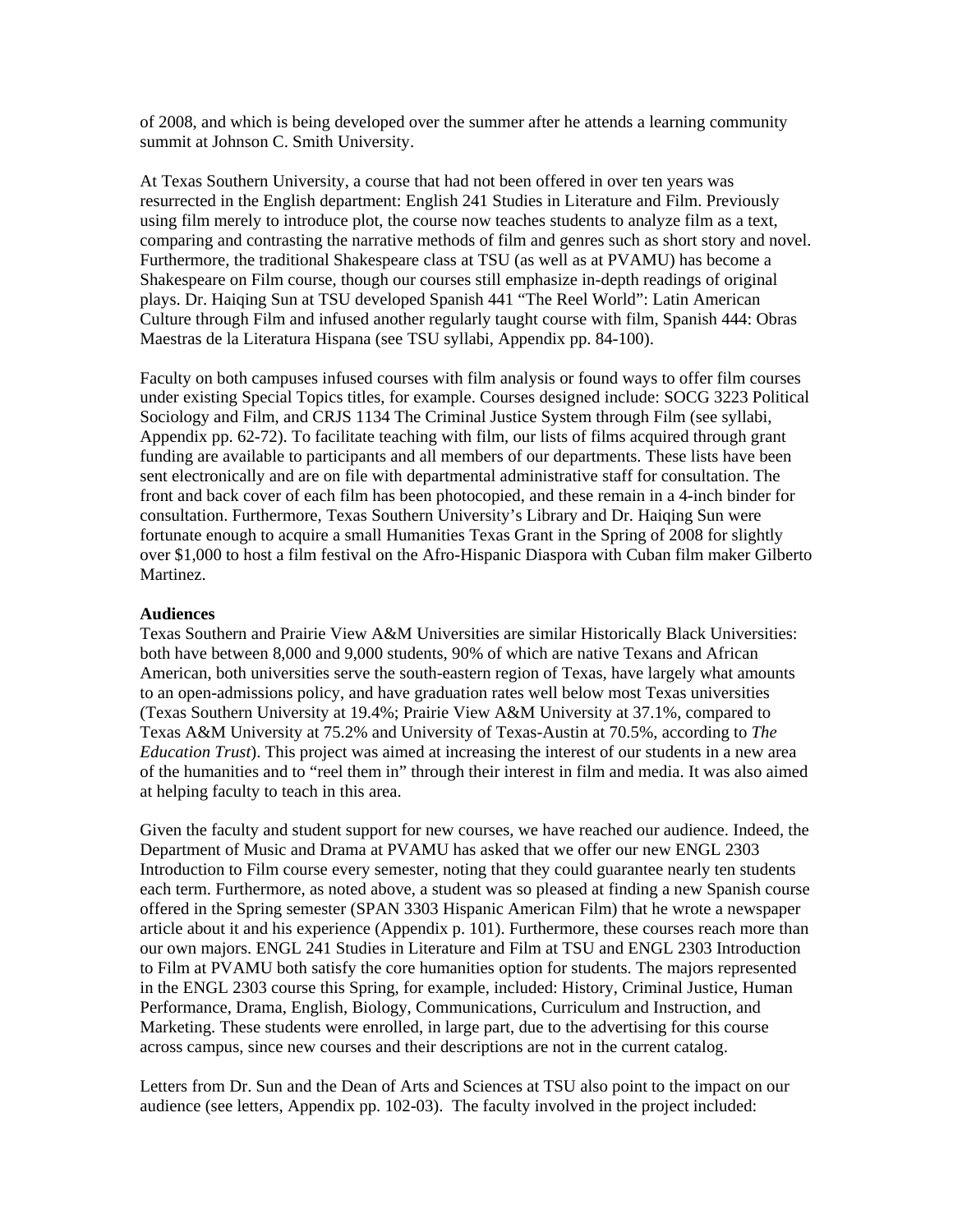of 2008, and which is being developed over the summer after he attends a learning community summit at Johnson C. Smith University.

At Texas Southern University, a course that had not been offered in over ten years was resurrected in the English department: English 241 Studies in Literature and Film. Previously using film merely to introduce plot, the course now teaches students to analyze film as a text, comparing and contrasting the narrative methods of film and genres such as short story and novel. Furthermore, the traditional Shakespeare class at TSU (as well as at PVAMU) has become a Shakespeare on Film course, though our courses still emphasize in-depth readings of original plays. Dr. Haiqing Sun at TSU developed Spanish 441 "The Reel World": Latin American Culture through Film and infused another regularly taught course with film, Spanish 444: Obras Maestras de la Literatura Hispana (see TSU syllabi, Appendix pp. 84-100).

Faculty on both campuses infused courses with film analysis or found ways to offer film courses under existing Special Topics titles, for example. Courses designed include: SOCG 3223 Political Sociology and Film, and CRJS 1134 The Criminal Justice System through Film (see syllabi, Appendix pp. 62-72). To facilitate teaching with film, our lists of films acquired through grant funding are available to participants and all members of our departments. These lists have been sent electronically and are on file with departmental administrative staff for consultation. The front and back cover of each film has been photocopied, and these remain in a 4-inch binder for consultation. Furthermore, Texas Southern University's Library and Dr. Haiqing Sun were fortunate enough to acquire a small Humanities Texas Grant in the Spring of 2008 for slightly over \$1,000 to host a film festival on the Afro-Hispanic Diaspora with Cuban film maker Gilberto Martinez.

#### **Audiences**

Texas Southern and Prairie View A&M Universities are similar Historically Black Universities: both have between 8,000 and 9,000 students, 90% of which are native Texans and African American, both universities serve the south-eastern region of Texas, have largely what amounts to an open-admissions policy, and have graduation rates well below most Texas universities (Texas Southern University at 19.4%; Prairie View A&M University at 37.1%, compared to Texas A&M University at 75.2% and University of Texas-Austin at 70.5%, according to *The Education Trust*). This project was aimed at increasing the interest of our students in a new area of the humanities and to "reel them in" through their interest in film and media. It was also aimed at helping faculty to teach in this area.

Given the faculty and student support for new courses, we have reached our audience. Indeed, the Department of Music and Drama at PVAMU has asked that we offer our new ENGL 2303 Introduction to Film course every semester, noting that they could guarantee nearly ten students each term. Furthermore, as noted above, a student was so pleased at finding a new Spanish course offered in the Spring semester (SPAN 3303 Hispanic American Film) that he wrote a newspaper article about it and his experience (Appendix p. 101). Furthermore, these courses reach more than our own majors. ENGL 241 Studies in Literature and Film at TSU and ENGL 2303 Introduction to Film at PVAMU both satisfy the core humanities option for students. The majors represented in the ENGL 2303 course this Spring, for example, included: History, Criminal Justice, Human Performance, Drama, English, Biology, Communications, Curriculum and Instruction, and Marketing. These students were enrolled, in large part, due to the advertising for this course across campus, since new courses and their descriptions are not in the current catalog.

Letters from Dr. Sun and the Dean of Arts and Sciences at TSU also point to the impact on our audience (see letters, Appendix pp. 102-03). The faculty involved in the project included: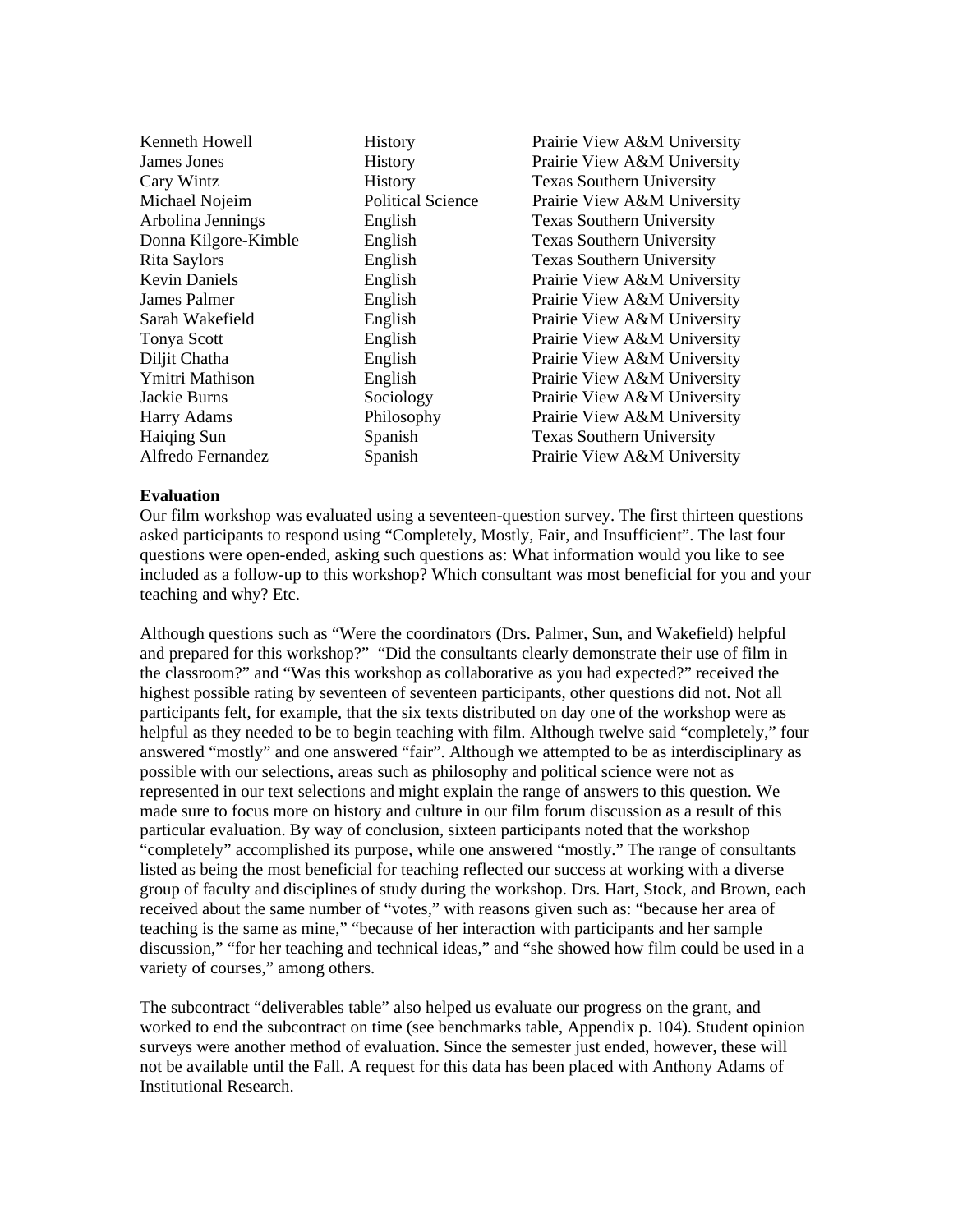| Kenneth Howell       | <b>History</b>           | Prairie View A&M University      |
|----------------------|--------------------------|----------------------------------|
| James Jones          | History                  | Prairie View A&M University      |
| Cary Wintz           | History                  | <b>Texas Southern University</b> |
| Michael Nojeim       | <b>Political Science</b> | Prairie View A&M University      |
| Arbolina Jennings    | English                  | <b>Texas Southern University</b> |
| Donna Kilgore-Kimble | English                  | <b>Texas Southern University</b> |
| Rita Saylors         | English                  | <b>Texas Southern University</b> |
| <b>Kevin Daniels</b> | English                  | Prairie View A&M University      |
| James Palmer         | English                  | Prairie View A&M University      |
| Sarah Wakefield      | English                  | Prairie View A&M University      |
| <b>Tonya Scott</b>   | English                  | Prairie View A&M University      |
| Diljit Chatha        | English                  | Prairie View A&M University      |
| Ymitri Mathison      | English                  | Prairie View A&M University      |
| Jackie Burns         | Sociology                | Prairie View A&M University      |
| <b>Harry Adams</b>   | Philosophy               | Prairie View A&M University      |
| <b>Haiging Sun</b>   | Spanish                  | <b>Texas Southern University</b> |
| Alfredo Fernandez    | Spanish                  | Prairie View A&M University      |
|                      |                          |                                  |

#### **Evaluation**

Our film workshop was evaluated using a seventeen-question survey. The first thirteen questions asked participants to respond using "Completely, Mostly, Fair, and Insufficient". The last four questions were open-ended, asking such questions as: What information would you like to see included as a follow-up to this workshop? Which consultant was most beneficial for you and your teaching and why? Etc.

Although questions such as "Were the coordinators (Drs. Palmer, Sun, and Wakefield) helpful and prepared for this workshop?" "Did the consultants clearly demonstrate their use of film in the classroom?" and "Was this workshop as collaborative as you had expected?" received the highest possible rating by seventeen of seventeen participants, other questions did not. Not all participants felt, for example, that the six texts distributed on day one of the workshop were as helpful as they needed to be to begin teaching with film. Although twelve said "completely," four answered "mostly" and one answered "fair". Although we attempted to be as interdisciplinary as possible with our selections, areas such as philosophy and political science were not as represented in our text selections and might explain the range of answers to this question. We made sure to focus more on history and culture in our film forum discussion as a result of this particular evaluation. By way of conclusion, sixteen participants noted that the workshop "completely" accomplished its purpose, while one answered "mostly." The range of consultants listed as being the most beneficial for teaching reflected our success at working with a diverse group of faculty and disciplines of study during the workshop. Drs. Hart, Stock, and Brown, each received about the same number of "votes," with reasons given such as: "because her area of teaching is the same as mine," "because of her interaction with participants and her sample discussion," "for her teaching and technical ideas," and "she showed how film could be used in a variety of courses," among others.

The subcontract "deliverables table" also helped us evaluate our progress on the grant, and worked to end the subcontract on time (see benchmarks table, Appendix p. 104). Student opinion surveys were another method of evaluation. Since the semester just ended, however, these will not be available until the Fall. A request for this data has been placed with Anthony Adams of Institutional Research.